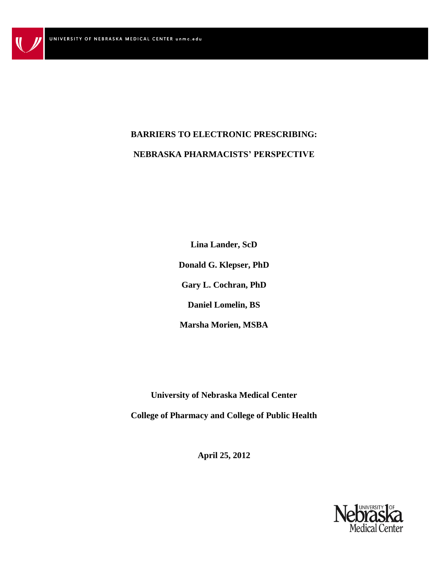# **BARRIERS TO ELECTRONIC PRESCRIBING: NEBRASKA PHARMACISTS' PERSPECTIVE**

**Lina Lander, ScD Donald G. Klepser, PhD Gary L. Cochran, PhD Daniel Lomelin, BS Marsha Morien, MSBA**

**University of Nebraska Medical Center College of Pharmacy and College of Public Health** 

**April 25, 2012**

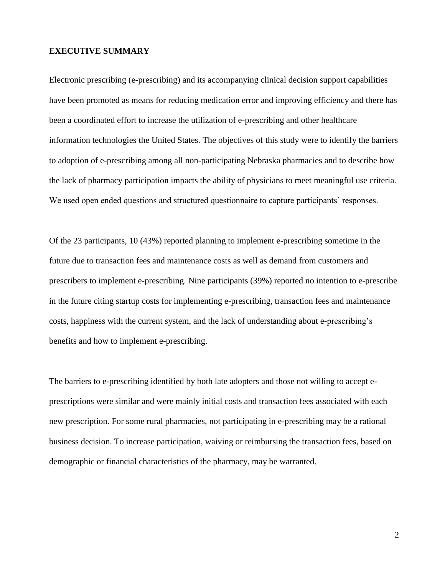### **EXECUTIVE SUMMARY**

Electronic prescribing (e-prescribing) and its accompanying clinical decision support capabilities have been promoted as means for reducing medication error and improving efficiency and there has been a coordinated effort to increase the utilization of e-prescribing and other healthcare information technologies the United States. The objectives of this study were to identify the barriers to adoption of e-prescribing among all non-participating Nebraska pharmacies and to describe how the lack of pharmacy participation impacts the ability of physicians to meet meaningful use criteria. We used open ended questions and structured questionnaire to capture participants' responses.

Of the 23 participants, 10 (43%) reported planning to implement e-prescribing sometime in the future due to transaction fees and maintenance costs as well as demand from customers and prescribers to implement e-prescribing. Nine participants (39%) reported no intention to e-prescribe in the future citing startup costs for implementing e-prescribing, transaction fees and maintenance costs, happiness with the current system, and the lack of understanding about e-prescribing"s benefits and how to implement e-prescribing.

The barriers to e-prescribing identified by both late adopters and those not willing to accept eprescriptions were similar and were mainly initial costs and transaction fees associated with each new prescription. For some rural pharmacies, not participating in e-prescribing may be a rational business decision. To increase participation, waiving or reimbursing the transaction fees, based on demographic or financial characteristics of the pharmacy, may be warranted.

2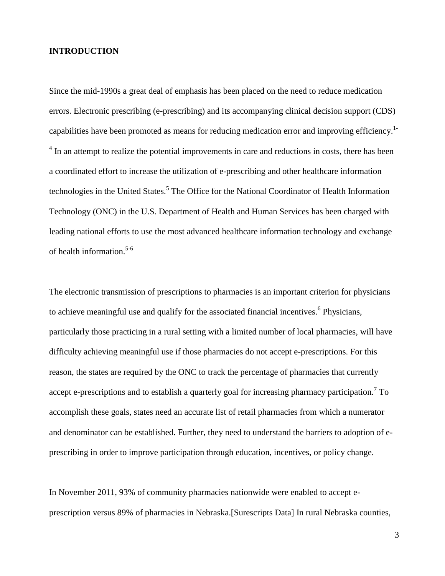## **INTRODUCTION**

Since the mid-1990s a great deal of emphasis has been placed on the need to reduce medication errors. Electronic prescribing (e-prescribing) and its accompanying clinical decision support (CDS) capabilities have been promoted as means for reducing medication error and improving efficiency.<sup>1-</sup>  $4\,$  In an attempt to realize the potential improvements in care and reductions in costs, there has been a coordinated effort to increase the utilization of e-prescribing and other healthcare information technologies in the United States.<sup>5</sup> The Office for the National Coordinator of Health Information Technology (ONC) in the U.S. Department of Health and Human Services has been charged with leading national efforts to use the most advanced healthcare information technology and exchange of health information. 5-6

The electronic transmission of prescriptions to pharmacies is an important criterion for physicians to achieve meaningful use and qualify for the associated financial incentives.<sup>6</sup> Physicians, particularly those practicing in a rural setting with a limited number of local pharmacies, will have difficulty achieving meaningful use if those pharmacies do not accept e-prescriptions. For this reason, the states are required by the ONC to track the percentage of pharmacies that currently accept e-prescriptions and to establish a quarterly goal for increasing pharmacy participation.<sup>7</sup> To accomplish these goals, states need an accurate list of retail pharmacies from which a numerator and denominator can be established. Further, they need to understand the barriers to adoption of eprescribing in order to improve participation through education, incentives, or policy change.

In November 2011, 93% of community pharmacies nationwide were enabled to accept eprescription versus 89% of pharmacies in Nebraska.[Surescripts Data] In rural Nebraska counties,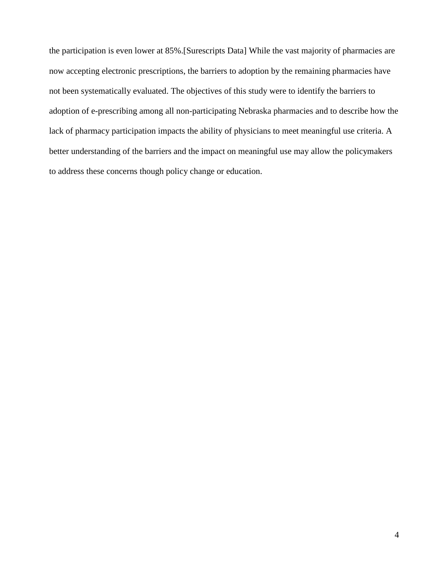the participation is even lower at 85%.[Surescripts Data] While the vast majority of pharmacies are now accepting electronic prescriptions, the barriers to adoption by the remaining pharmacies have not been systematically evaluated. The objectives of this study were to identify the barriers to adoption of e-prescribing among all non-participating Nebraska pharmacies and to describe how the lack of pharmacy participation impacts the ability of physicians to meet meaningful use criteria. A better understanding of the barriers and the impact on meaningful use may allow the policymakers to address these concerns though policy change or education.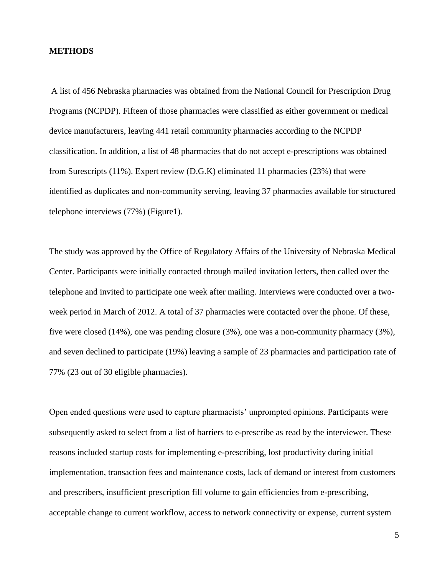### **METHODS**

A list of 456 Nebraska pharmacies was obtained from the National Council for Prescription Drug Programs (NCPDP). Fifteen of those pharmacies were classified as either government or medical device manufacturers, leaving 441 retail community pharmacies according to the NCPDP classification. In addition, a list of 48 pharmacies that do not accept e-prescriptions was obtained from Surescripts (11%). Expert review (D.G.K) eliminated 11 pharmacies (23%) that were identified as duplicates and non-community serving, leaving 37 pharmacies available for structured telephone interviews (77%) (Figure1).

The study was approved by the Office of Regulatory Affairs of the University of Nebraska Medical Center. Participants were initially contacted through mailed invitation letters, then called over the telephone and invited to participate one week after mailing. Interviews were conducted over a twoweek period in March of 2012. A total of 37 pharmacies were contacted over the phone. Of these, five were closed (14%), one was pending closure (3%), one was a non-community pharmacy (3%), and seven declined to participate (19%) leaving a sample of 23 pharmacies and participation rate of 77% (23 out of 30 eligible pharmacies).

Open ended questions were used to capture pharmacists" unprompted opinions. Participants were subsequently asked to select from a list of barriers to e-prescribe as read by the interviewer. These reasons included startup costs for implementing e-prescribing, lost productivity during initial implementation, transaction fees and maintenance costs, lack of demand or interest from customers and prescribers, insufficient prescription fill volume to gain efficiencies from e-prescribing, acceptable change to current workflow, access to network connectivity or expense, current system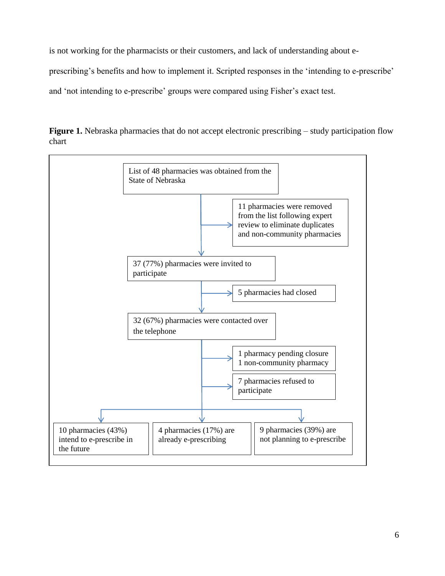is not working for the pharmacists or their customers, and lack of understanding about e-

prescribing's benefits and how to implement it. Scripted responses in the 'intending to e-prescribe'

and 'not intending to e-prescribe' groups were compared using Fisher's exact test.



**Figure 1.** Nebraska pharmacies that do not accept electronic prescribing – study participation flow chart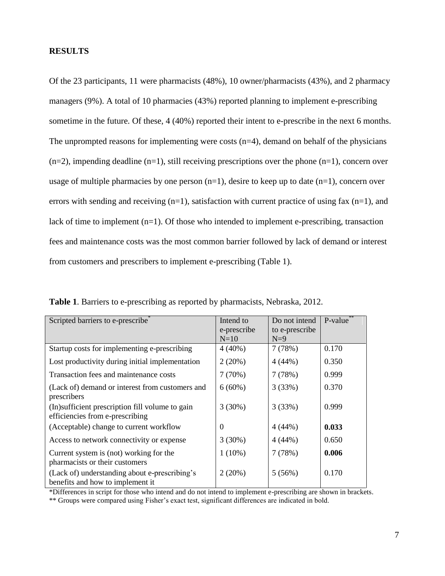## **RESULTS**

Of the 23 participants, 11 were pharmacists (48%), 10 owner/pharmacists (43%), and 2 pharmacy managers (9%). A total of 10 pharmacies (43%) reported planning to implement e-prescribing sometime in the future. Of these, 4 (40%) reported their intent to e-prescribe in the next 6 months. The unprompted reasons for implementing were costs  $(n=4)$ , demand on behalf of the physicians  $(n=2)$ , impending deadline  $(n=1)$ , still receiving prescriptions over the phone  $(n=1)$ , concern over usage of multiple pharmacies by one person  $(n=1)$ , desire to keep up to date  $(n=1)$ , concern over errors with sending and receiving  $(n=1)$ , satisfaction with current practice of using fax  $(n=1)$ , and lack of time to implement (n=1). Of those who intended to implement e-prescribing, transaction fees and maintenance costs was the most common barrier followed by lack of demand or interest from customers and prescribers to implement e-prescribing (Table 1).

| Scripted barriers to e-prescribe <sup>*</sup>                                       | Intend to<br>e-prescribe | Do not intend<br>to e-prescribe | P-value** |
|-------------------------------------------------------------------------------------|--------------------------|---------------------------------|-----------|
|                                                                                     | $N=10$                   | $N=9$                           |           |
| Startup costs for implementing e-prescribing                                        | $4(40\%)$                | 7(78%)                          | 0.170     |
| Lost productivity during initial implementation                                     | 2(20%)                   | 4(44%)                          | 0.350     |
| Transaction fees and maintenance costs                                              | 7(70%)                   | 7(78%)                          | 0.999     |
| (Lack of) demand or interest from customers and<br>prescribers                      | $6(60\%)$                | 3(33%)                          | 0.370     |
| (In) sufficient prescription fill volume to gain<br>efficiencies from e-prescribing | 3(30%)                   | 3(33%)                          | 0.999     |
| (Acceptable) change to current workflow                                             | $\Omega$                 | 4(44%)                          | 0.033     |
| Access to network connectivity or expense                                           | 3(30%)                   | 4(44%)                          | 0.650     |
| Current system is (not) working for the<br>pharmacists or their customers           | $1(10\%)$                | 7(78%)                          | 0.006     |
| (Lack of) understanding about e-prescribing's<br>benefits and how to implement it   | 2(20%)                   | 5(56%)                          | 0.170     |

**Table 1**. Barriers to e-prescribing as reported by pharmacists, Nebraska, 2012.

\*Differences in script for those who intend and do not intend to implement e-prescribing are shown in brackets.

\*\* Groups were compared using Fisher"s exact test, significant differences are indicated in bold.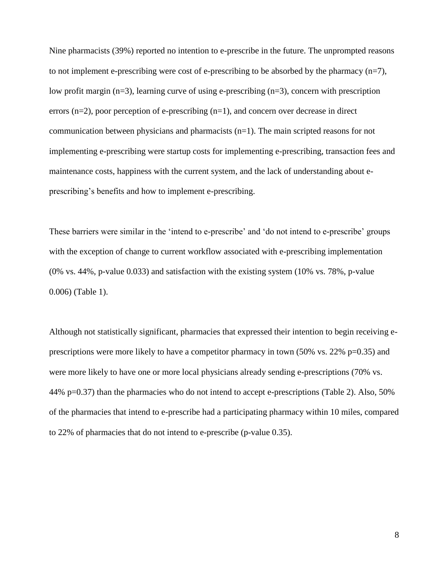Nine pharmacists (39%) reported no intention to e-prescribe in the future. The unprompted reasons to not implement e-prescribing were cost of e-prescribing to be absorbed by the pharmacy  $(n=7)$ , low profit margin  $(n=3)$ , learning curve of using e-prescribing  $(n=3)$ , concern with prescription errors  $(n=2)$ , poor perception of e-prescribing  $(n=1)$ , and concern over decrease in direct communication between physicians and pharmacists  $(n=1)$ . The main scripted reasons for not implementing e-prescribing were startup costs for implementing e-prescribing, transaction fees and maintenance costs, happiness with the current system, and the lack of understanding about eprescribing"s benefits and how to implement e-prescribing.

These barriers were similar in the "intend to e-prescribe" and "do not intend to e-prescribe" groups with the exception of change to current workflow associated with e-prescribing implementation (0% vs. 44%, p-value 0.033) and satisfaction with the existing system (10% vs. 78%, p-value 0.006) (Table 1).

Although not statistically significant, pharmacies that expressed their intention to begin receiving eprescriptions were more likely to have a competitor pharmacy in town (50% vs. 22% p=0.35) and were more likely to have one or more local physicians already sending e-prescriptions (70% vs. 44% p=0.37) than the pharmacies who do not intend to accept e-prescriptions (Table 2). Also, 50% of the pharmacies that intend to e-prescribe had a participating pharmacy within 10 miles, compared to 22% of pharmacies that do not intend to e-prescribe (p-value 0.35).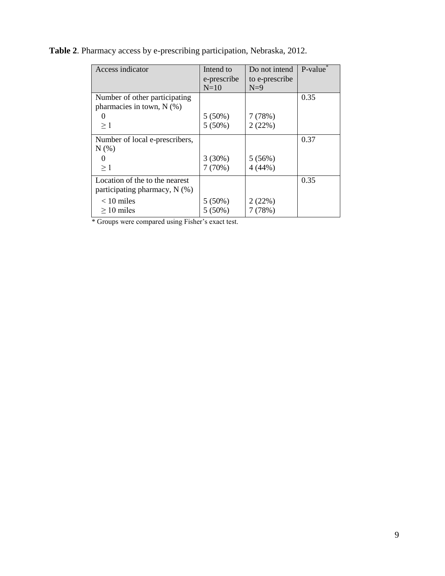| Access indicator               | Intend to   | Do not intend  | P-value |
|--------------------------------|-------------|----------------|---------|
|                                | e-prescribe | to e-prescribe |         |
|                                | $N=10$      | $N=9$          |         |
| Number of other participating  |             |                | 0.35    |
| pharmacies in town, $N$ (%)    |             |                |         |
|                                | 5(50%)      | 7(78%)         |         |
| $\geq 1$                       | $5(50\%)$   | 2(22%)         |         |
| Number of local e-prescribers, |             |                | 0.37    |
| N(% )                          |             |                |         |
|                                | 3(30%)      | 5(56%)         |         |
| $\geq 1$                       | 7(70%)      | 4(44%)         |         |
| Location of the to the nearest |             |                | 0.35    |
| participating pharmacy, N (%)  |             |                |         |
| $< 10$ miles                   | $5(50\%)$   | 2(22%)         |         |
| $\geq 10$ miles                | $5(50\%)$   | 7(78%)         |         |

**Table 2**. Pharmacy access by e-prescribing participation, Nebraska, 2012.

\* Groups were compared using Fisher"s exact test.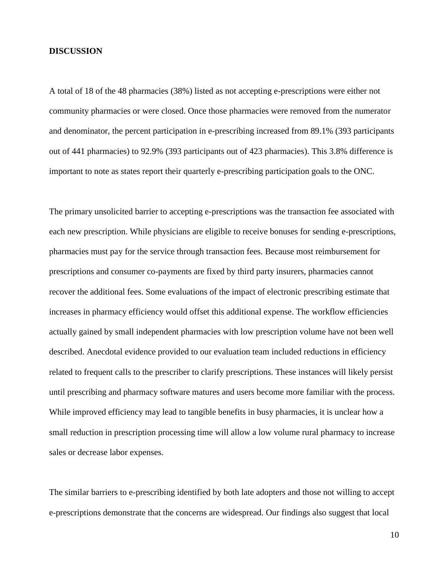### **DISCUSSION**

A total of 18 of the 48 pharmacies (38%) listed as not accepting e-prescriptions were either not community pharmacies or were closed. Once those pharmacies were removed from the numerator and denominator, the percent participation in e-prescribing increased from 89.1% (393 participants out of 441 pharmacies) to 92.9% (393 participants out of 423 pharmacies). This 3.8% difference is important to note as states report their quarterly e-prescribing participation goals to the ONC.

The primary unsolicited barrier to accepting e-prescriptions was the transaction fee associated with each new prescription. While physicians are eligible to receive bonuses for sending e-prescriptions, pharmacies must pay for the service through transaction fees. Because most reimbursement for prescriptions and consumer co-payments are fixed by third party insurers, pharmacies cannot recover the additional fees. Some evaluations of the impact of electronic prescribing estimate that increases in pharmacy efficiency would offset this additional expense. The workflow efficiencies actually gained by small independent pharmacies with low prescription volume have not been well described. Anecdotal evidence provided to our evaluation team included reductions in efficiency related to frequent calls to the prescriber to clarify prescriptions. These instances will likely persist until prescribing and pharmacy software matures and users become more familiar with the process. While improved efficiency may lead to tangible benefits in busy pharmacies, it is unclear how a small reduction in prescription processing time will allow a low volume rural pharmacy to increase sales or decrease labor expenses.

The similar barriers to e-prescribing identified by both late adopters and those not willing to accept e-prescriptions demonstrate that the concerns are widespread. Our findings also suggest that local

10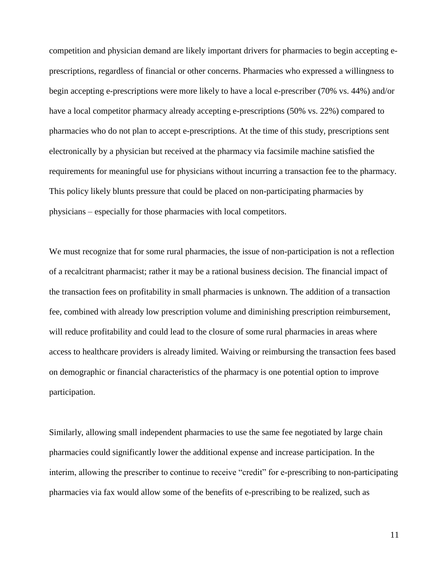competition and physician demand are likely important drivers for pharmacies to begin accepting eprescriptions, regardless of financial or other concerns. Pharmacies who expressed a willingness to begin accepting e-prescriptions were more likely to have a local e-prescriber (70% vs. 44%) and/or have a local competitor pharmacy already accepting e-prescriptions (50% vs. 22%) compared to pharmacies who do not plan to accept e-prescriptions. At the time of this study, prescriptions sent electronically by a physician but received at the pharmacy via facsimile machine satisfied the requirements for meaningful use for physicians without incurring a transaction fee to the pharmacy. This policy likely blunts pressure that could be placed on non-participating pharmacies by physicians – especially for those pharmacies with local competitors.

We must recognize that for some rural pharmacies, the issue of non-participation is not a reflection of a recalcitrant pharmacist; rather it may be a rational business decision. The financial impact of the transaction fees on profitability in small pharmacies is unknown. The addition of a transaction fee, combined with already low prescription volume and diminishing prescription reimbursement, will reduce profitability and could lead to the closure of some rural pharmacies in areas where access to healthcare providers is already limited. Waiving or reimbursing the transaction fees based on demographic or financial characteristics of the pharmacy is one potential option to improve participation.

Similarly, allowing small independent pharmacies to use the same fee negotiated by large chain pharmacies could significantly lower the additional expense and increase participation. In the interim, allowing the prescriber to continue to receive "credit" for e-prescribing to non-participating pharmacies via fax would allow some of the benefits of e-prescribing to be realized, such as

11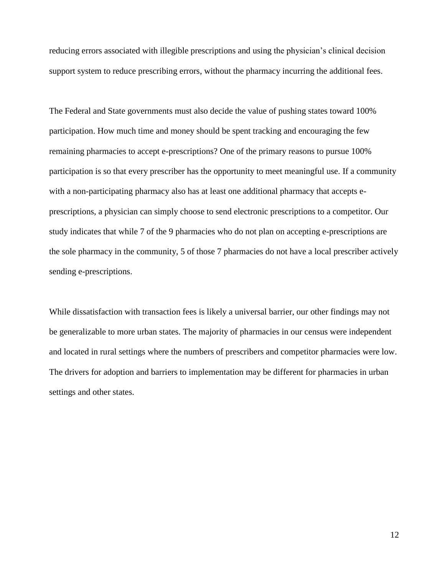reducing errors associated with illegible prescriptions and using the physician"s clinical decision support system to reduce prescribing errors, without the pharmacy incurring the additional fees.

The Federal and State governments must also decide the value of pushing states toward 100% participation. How much time and money should be spent tracking and encouraging the few remaining pharmacies to accept e-prescriptions? One of the primary reasons to pursue 100% participation is so that every prescriber has the opportunity to meet meaningful use. If a community with a non-participating pharmacy also has at least one additional pharmacy that accepts eprescriptions, a physician can simply choose to send electronic prescriptions to a competitor. Our study indicates that while 7 of the 9 pharmacies who do not plan on accepting e-prescriptions are the sole pharmacy in the community, 5 of those 7 pharmacies do not have a local prescriber actively sending e-prescriptions.

While dissatisfaction with transaction fees is likely a universal barrier, our other findings may not be generalizable to more urban states. The majority of pharmacies in our census were independent and located in rural settings where the numbers of prescribers and competitor pharmacies were low. The drivers for adoption and barriers to implementation may be different for pharmacies in urban settings and other states.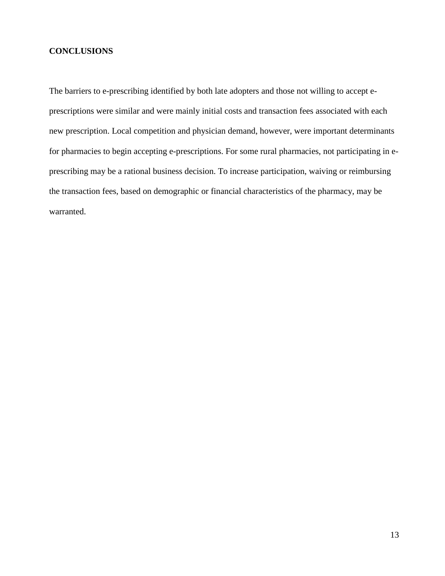## **CONCLUSIONS**

The barriers to e-prescribing identified by both late adopters and those not willing to accept eprescriptions were similar and were mainly initial costs and transaction fees associated with each new prescription. Local competition and physician demand, however, were important determinants for pharmacies to begin accepting e-prescriptions. For some rural pharmacies, not participating in eprescribing may be a rational business decision. To increase participation, waiving or reimbursing the transaction fees, based on demographic or financial characteristics of the pharmacy, may be warranted.